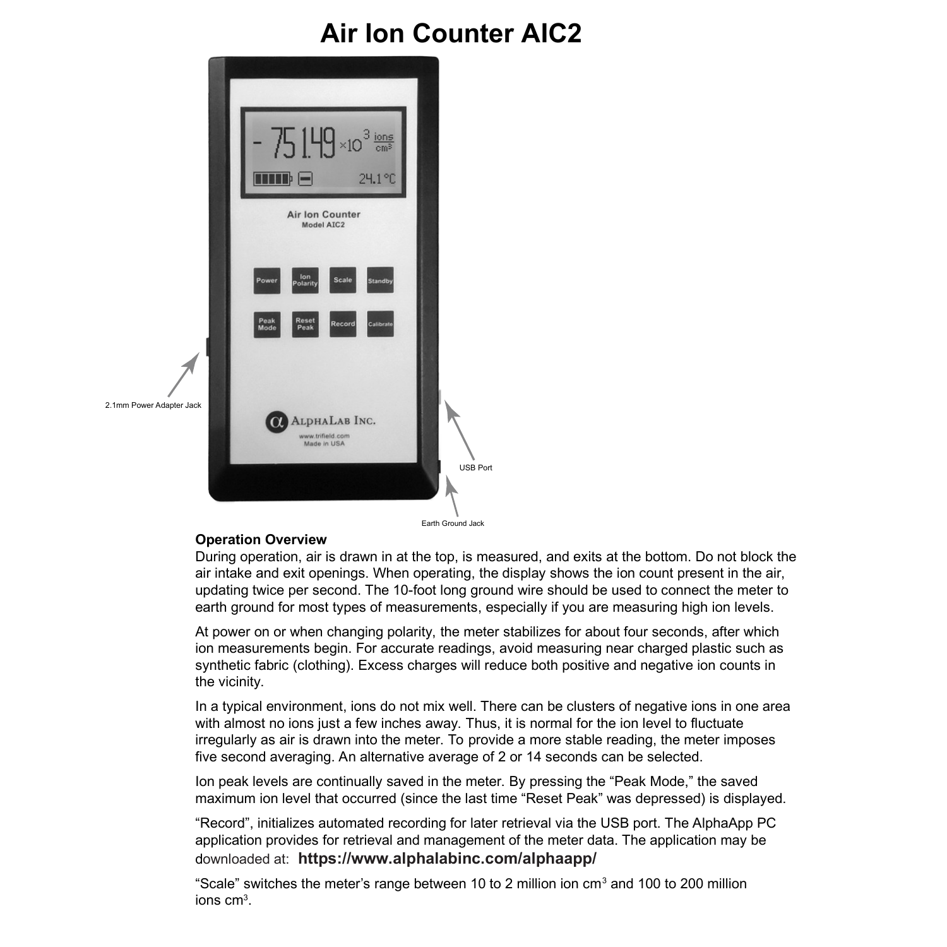# **Air Ion Counter AIC2**



#### **Operation Overview**

During operation, air is drawn in at the top, is measured, and exits at the bottom. Do not block the air intake and exit openings. When operating, the display shows the ion count present in the air, updating twice per second. The 10-foot long ground wire should be used to connect the meter to earth ground for most types of measurements, especially if you are measuring high ion levels.

At power on or when changing polarity, the meter stabilizes for about four seconds, after which ion measurements begin. For accurate readings, avoid measuring near charged plastic such as synthetic fabric (clothing). Excess charges will reduce both positive and negative ion counts in the vicinity.

In a typical environment, ions do not mix well. There can be clusters of negative ions in one area with almost no ions just a few inches away. Thus, it is normal for the ion level to fluctuate irregularly as air is drawn into the meter. To provide a more stable reading, the meter imposes five second averaging. An alternative average of 2 or 14 seconds can be selected.

Ion peak levels are continually saved in the meter. By pressing the "Peak Mode," the saved maximum ion level that occurred (since the last time "Reset Peak" was depressed) is displayed.

"Record", initializes automated recording for later retrieval via the USB port. The AlphaApp PC application provides for retrieval and management of the meter data. The application may be downloaded at: **https://www.alphalabinc.com/alphaapp/**

"Scale" switches the meter's range between 10 to 2 million ion  $cm<sup>3</sup>$  and 100 to 200 million ions cm<sup>3</sup>.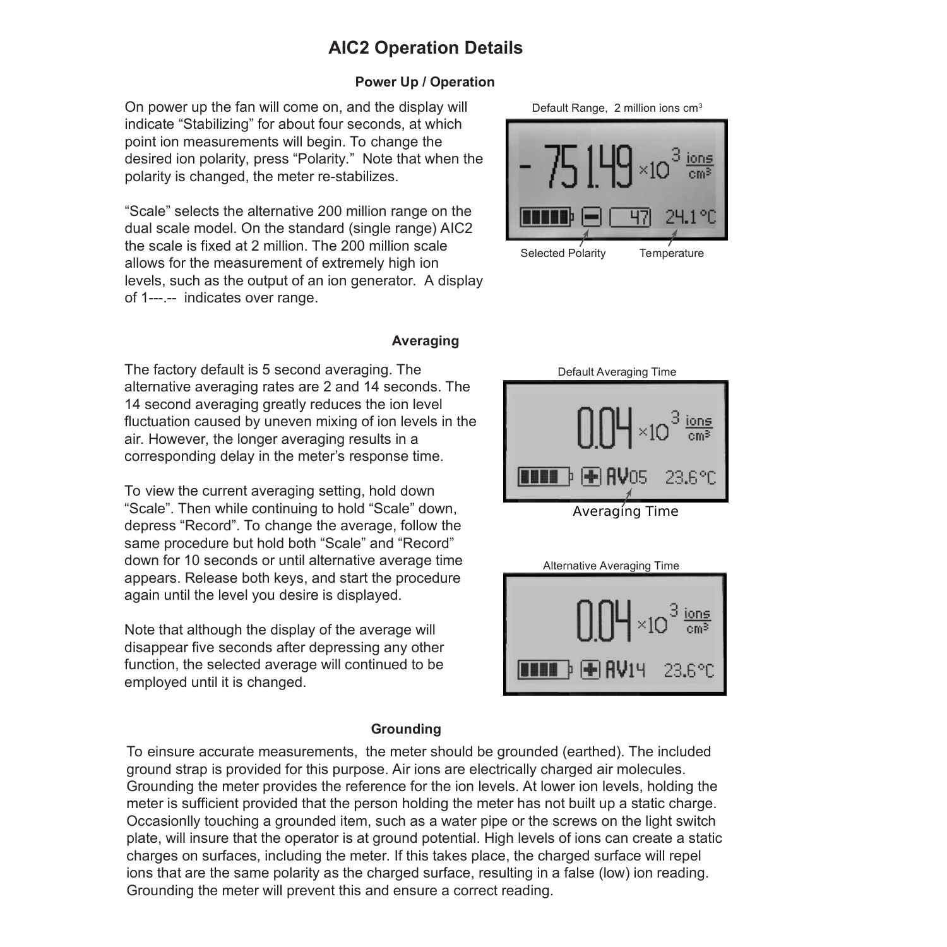# **AIC2 Operation Details**

#### **Power Up / Operation**

On power up the fan will come on, and the display will indicate "Stabilizing" for about four seconds, at which point ion measurements will begin. To change the desired ion polarity, press "Polarity." Note that when the polarity is changed, the meter re-stabilizes.

"Scale" selects the alternative 200 million range on the dual scale model. On the standard (single range) AIC2 the scale is fixed at 2 million. The 200 million scale allows for the measurement of extremely high ion levels, such as the output of an ion generator. A display of 1---.-- indicates over range.

#### **Averaging**

The factory default is 5 second averaging. The alternative averaging rates are 2 and 14 seconds. The 14 second averaging greatly reduces the ion level fluctuation caused by uneven mixing of ion levels in the air. However, the longer averaging results in a corresponding delay in the meter's response time.

To view the current averaging setting, hold down "Scale". Then while continuing to hold "Scale" down, depress "Record". To change the average, follow the same procedure but hold both "Scale" and "Record" down for 10 seconds or until alternative average time appears. Release both keys, and start the procedure again until the level you desire is displayed.

Note that although the display of the average will disappear five seconds after depressing any other function, the selected average will continued to be employed until it is changed.

### **Grounding**

To einsure accurate measurements, the meter should be grounded (earthed). The included ground strap is provided for this purpose. Air ions are electrically charged air molecules. Grounding the meter provides the reference for the ion levels. At lower ion levels, holding the meter is sufficient provided that the person holding the meter has not built up a static charge. Occasionlly touching a grounded item, such as a water pipe or the screws on the light switch plate, will insure that the operator is at ground potential. High levels of ions can create a static charges on surfaces, including the meter. If this takes place, the charged surface will repel ions that are the same polarity as the charged surface, resulting in a false (low) ion reading. Grounding the meter will prevent this and ensure a correct reading.





Averaging Time

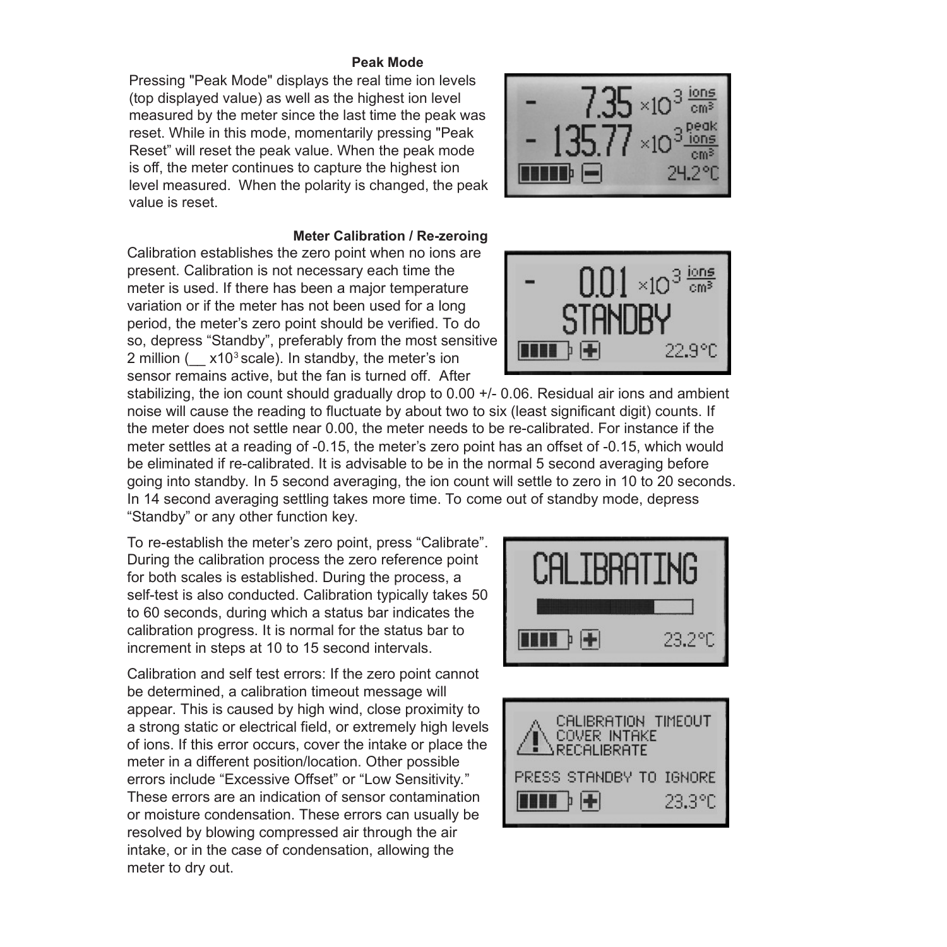#### **Peak Mode**

Pressing "Peak Mode" displays the real time ion levels (top displayed value) as well as the highest ion level measured by the meter since the last time the peak was reset. While in this mode, momentarily pressing "Peak Reset" will reset the peak value. When the peak mode is off, the meter continues to capture the highest ion level measured. When the polarity is changed, the peak value is reset.



#### **Meter Calibration / Re-zeroing**

Calibration establishes the zero point when no ions are present. Calibration is not necessary each time the meter is used. If there has been a major temperature variation or if the meter has not been used for a long period, the meter's zero point should be verified. To do so, depress "Standby", preferably from the most sensitive 2 million ( $x10^3$  scale). In standby, the meter's ion sensor remains active, but the fan is turned off. After



stabilizing, the ion count should gradually drop to 0.00 +/- 0.06. Residual air ions and ambient noise will cause the reading to fluctuate by about two to six (least significant digit) counts. If the meter does not settle near 0.00, the meter needs to be re-calibrated. For instance if the meter settles at a reading of -0.15, the meter's zero point has an offset of -0.15, which would be eliminated if re-calibrated. It is advisable to be in the normal 5 second averaging before going into standby. In 5 second averaging, the ion count will settle to zero in 10 to 20 seconds. In 14 second averaging settling takes more time. To come out of standby mode, depress "Standby" or any other function key.

To re-establish the meter's zero point, press "Calibrate". During the calibration process the zero reference point for both scales is established. During the process, a self-test is also conducted. Calibration typically takes 50 to 60 seconds, during which a status bar indicates the calibration progress. It is normal for the status bar to increment in steps at 10 to 15 second intervals.

Calibration and self test errors: If the zero point cannot be determined, a calibration timeout message will appear. This is caused by high wind, close proximity to a strong static or electrical field, or extremely high levels of ions. If this error occurs, cover the intake or place the meter in a different position/location. Other possible errors include "Excessive Offset" or "Low Sensitivity." These errors are an indication of sensor contamination or moisture condensation. These errors can usually be resolved by blowing compressed air through the air intake, or in the case of condensation, allowing the meter to dry out.



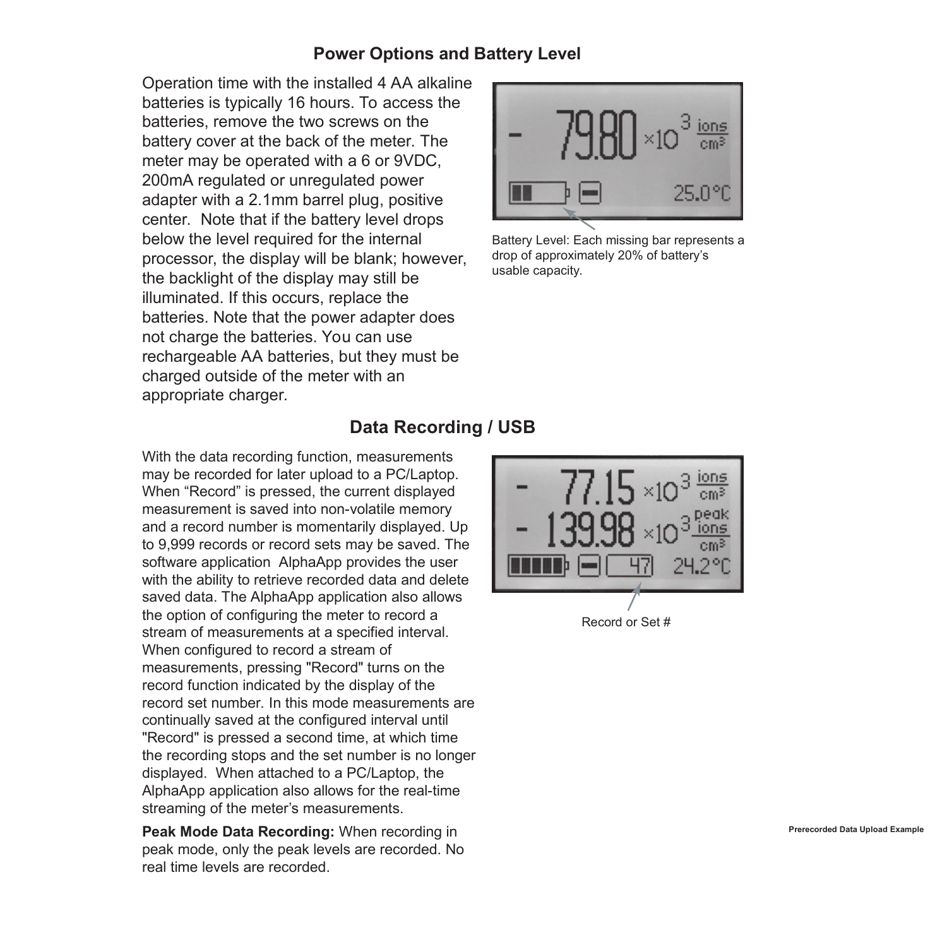### **Power Options and Battery Level**

Operation time with the installed 4 AA alkaline batteries is typically 16 hours. To access the batteries, remove the two screws on the battery cover at the back of the meter. The meter may be operated with a 6 or 9VDC, 200mA regulated or unregulated power adapter with a 2.1mm barrel plug, positive center. Note that if the battery level drops below the level required for the internal processor, the display will be blank; however, the backlight of the display may still be illuminated. If this occurs, replace the batteries. Note that the power adapter does not charge the batteries. You can use rechargeable AA batteries, but they must be charged outside of the meter with an appropriate charger.



Battery Level: Each missing bar represents a drop of approximately 20% of battery's usable capacity.

# **Data Recording / USB**

With the data recording function, measurements may be recorded for later upload to a PC/Laptop. When "Record" is pressed, the current displayed measurement is saved into non-volatile memory and a record number is momentarily displayed. Up to 9,999 records or record sets may be saved. The software application AlphaApp provides the user with the ability to retrieve recorded data and delete saved data. The AlphaApp application also allows the option of configuring the meter to record a stream of measurements at a specified interval. When configured to record a stream of measurements, pressing "Record" turns on the record function indicated by the display of the record set number. In this mode measurements are continually saved at the configured interval until "Record" is pressed a second time, at which time the recording stops and the set number is no longer displayed. When attached to a PC/Laptop, the AlphaApp application also allows for the real-time streaming of the meter's measurements.

**Peak Mode Data Recording:** When recording in peak mode, only the peak levels are recorded. No real time levels are recorded.

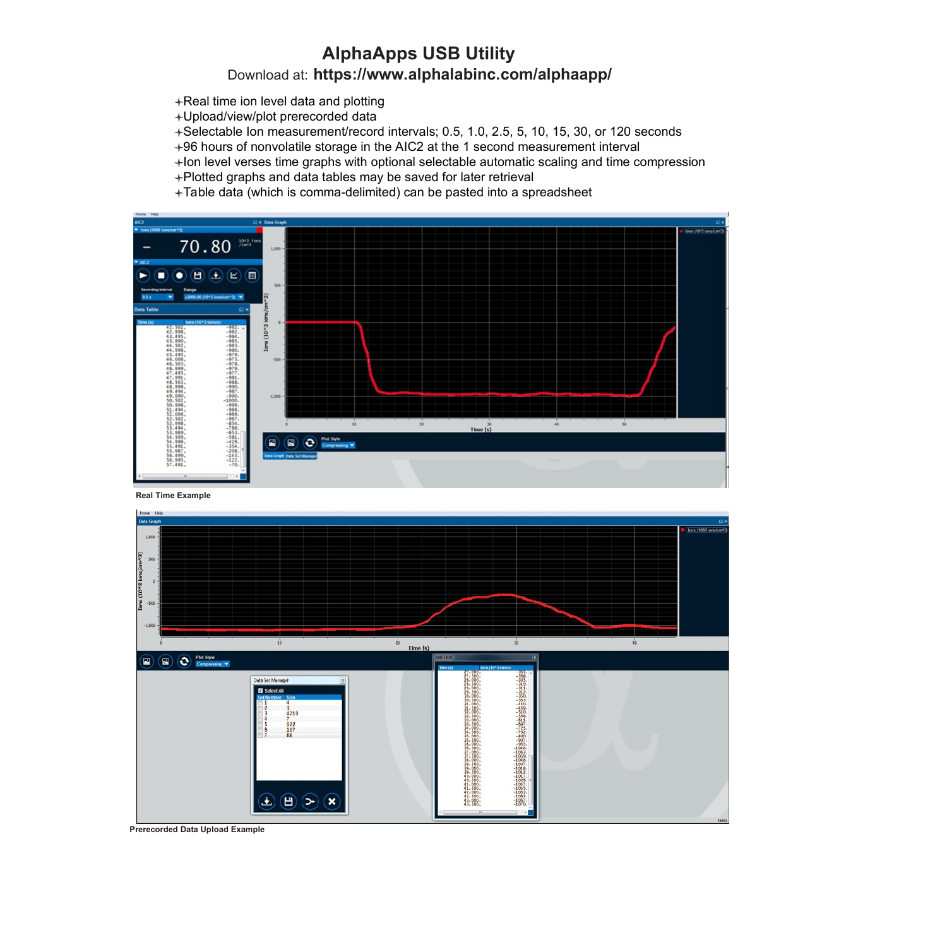# **AlphaApps USB Utility**  Download at: **https://www.alphalabinc.com/alphaapp/**

- +Real time ion level data and plotting
- Upload/view/plot prerecorded data
- Selectable Ion measurement/record intervals; 0.5, 1.0, 2.5, 5, 10, 15, 30, or 120 seconds
- 96 hours of nonvolatile storage in the AIC2 at the 1 second measurement interval
- $+$ lon level verses time graphs with optional selectable automatic scaling and time compression
- Plotted graphs and data tables may be saved for later retrieval
- Table data (which is comma-delimited) can be pasted into a spreadsheet







**Prerecorded Data Upload Example**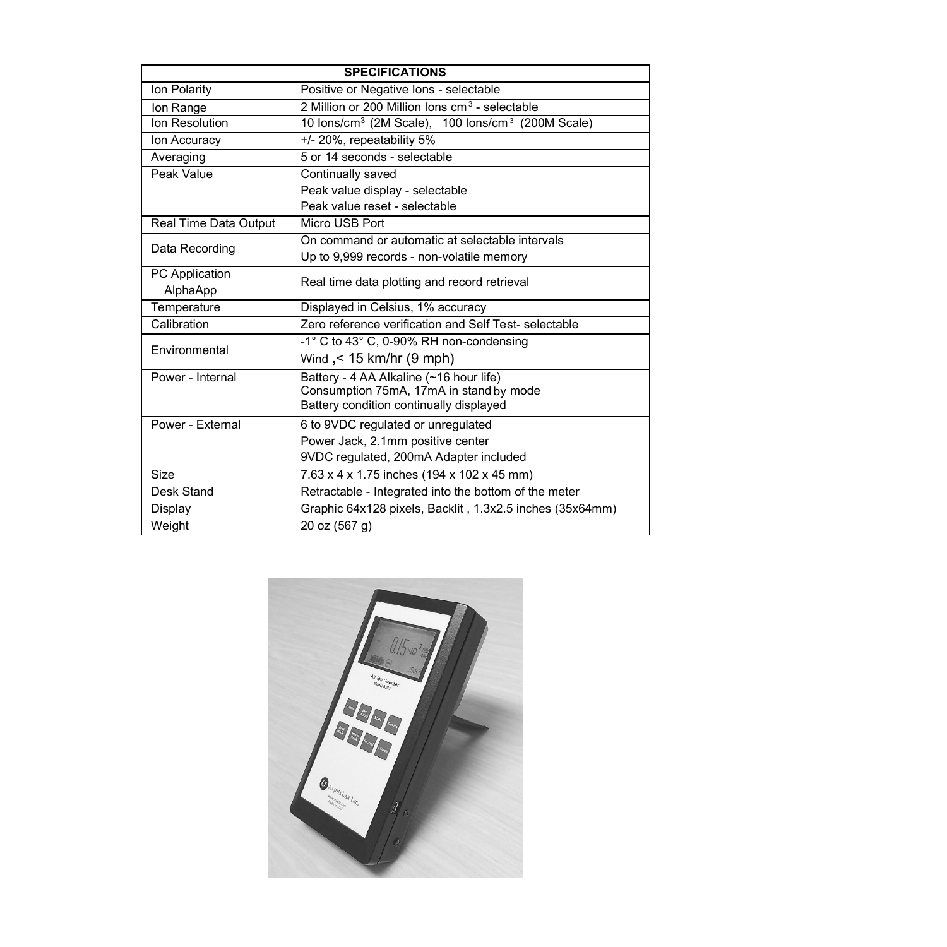| <b>SPECIFICATIONS</b> |                                                                           |
|-----------------------|---------------------------------------------------------------------------|
| Ion Polarity          | Positive or Negative Ions - selectable                                    |
| Ion Range             | 2 Million or 200 Million Ions cm <sup>3</sup> - selectable                |
| Ion Resolution        | 10 lons/cm <sup>3</sup> (2M Scale), 100 lons/cm <sup>3</sup> (200M Scale) |
| Ion Accuracy          | +/- 20%, repeatability 5%                                                 |
| Averaging             | 5 or 14 seconds - selectable                                              |
| Peak Value            | Continually saved                                                         |
|                       | Peak value display - selectable                                           |
|                       | Peak value reset - selectable                                             |
| Real Time Data Output | Micro USB Port                                                            |
| Data Recording        | On command or automatic at selectable intervals                           |
|                       | Up to 9,999 records - non-volatile memory                                 |
| <b>PC</b> Application | Real time data plotting and record retrieval                              |
| AlphaApp              |                                                                           |
| Temperature           | Displayed in Celsius, 1% accuracy                                         |
| Calibration           | Zero reference verification and Self Test- selectable                     |
| Environmental         | -1° C to 43° C, 0-90% RH non-condensing                                   |
|                       | Wind, < 15 km/hr (9 mph)                                                  |
| Power - Internal      | Battery - 4 AA Alkaline (~16 hour life)                                   |
|                       | Consumption 75mA, 17mA in stand by mode                                   |
|                       | Battery condition continually displayed                                   |
| Power - External      | 6 to 9VDC regulated or unregulated                                        |
|                       | Power Jack, 2.1mm positive center                                         |
|                       | 9VDC regulated, 200mA Adapter included                                    |
| <b>Size</b>           | 7.63 x 4 x 1.75 inches (194 x 102 x 45 mm)                                |
| Desk Stand            | Retractable - Integrated into the bottom of the meter                     |
| Display               | Graphic 64x128 pixels, Backlit, 1.3x2.5 inches (35x64mm)                  |
| Weight                | 20 oz (567 g)                                                             |